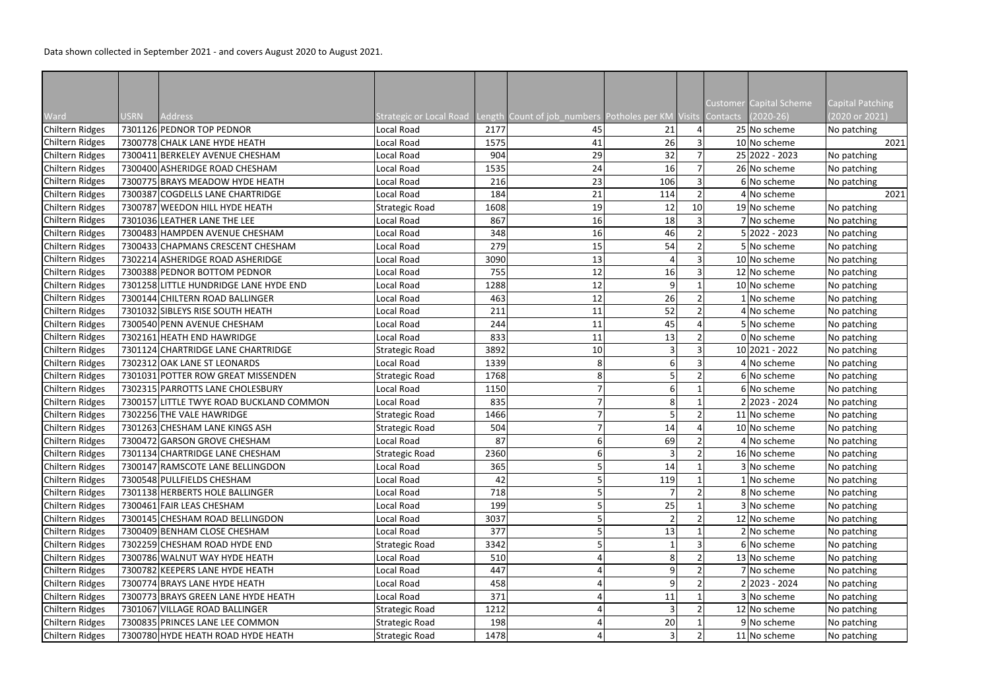|                 |             |                                          |                                                                                     |      |    |                |    | Customer Capital Scheme | <b>Capital Patching</b> |
|-----------------|-------------|------------------------------------------|-------------------------------------------------------------------------------------|------|----|----------------|----|-------------------------|-------------------------|
| Ward            | <b>USRN</b> | Address                                  | Strategic or Local Road Length Count of job_numbers Potholes per KM Visits Contacts |      |    |                |    | $(2020-26)$             | (2020 or 2021)          |
| Chiltern Ridges |             | 7301126 PEDNOR TOP PEDNOR                | Local Road                                                                          | 2177 | 45 | 21             |    | 25 No scheme            | No patching             |
| Chiltern Ridges |             | 7300778 CHALK LANE HYDE HEATH            | Local Road                                                                          | 1575 | 41 | 26             |    | 10 No scheme            | 2021                    |
| Chiltern Ridges |             | 7300411 BERKELEY AVENUE CHESHAM          | Local Road                                                                          | 904  | 29 | 32             |    | 25 2022 - 2023          | No patching             |
| Chiltern Ridges |             | 7300400 ASHERIDGE ROAD CHESHAM           | Local Road                                                                          | 1535 | 24 | 16             |    | 26 No scheme            | No patching             |
| Chiltern Ridges |             | 7300775 BRAYS MEADOW HYDE HEATH          | Local Road                                                                          | 216  | 23 | 106            |    | 6 No scheme             | No patching             |
| Chiltern Ridges |             | 7300387 COGDELLS LANE CHARTRIDGE         | Local Road                                                                          | 184  | 21 | 114            |    | 4 No scheme             | 2021                    |
| Chiltern Ridges |             | 7300787 WEEDON HILL HYDE HEATH           | Strategic Road                                                                      | 1608 | 19 | 12             | 10 | 19 No scheme            | No patching             |
| Chiltern Ridges |             | 7301036 LEATHER LANE THE LEE             | Local Road                                                                          | 867  | 16 | 18             |    | 7 No scheme             | No patching             |
| Chiltern Ridges |             | 7300483 HAMPDEN AVENUE CHESHAM           | Local Road                                                                          | 348  | 16 | 46             |    | 5 2022 - 2023           | No patching             |
| Chiltern Ridges |             | 7300433 CHAPMANS CRESCENT CHESHAM        | Local Road                                                                          | 279  | 15 | 54             |    | 5 No scheme             | No patching             |
| Chiltern Ridges |             | 7302214 ASHERIDGE ROAD ASHERIDGE         | Local Road                                                                          | 3090 | 13 |                |    | 10 No scheme            | No patching             |
| Chiltern Ridges |             | 7300388 PEDNOR BOTTOM PEDNOR             | Local Road                                                                          | 755  | 12 | 16             |    | 12 No scheme            | No patching             |
| Chiltern Ridges |             | 7301258 LITTLE HUNDRIDGE LANE HYDE END   | Local Road                                                                          | 1288 | 12 | $\overline{9}$ |    | 10 No scheme            | No patching             |
| Chiltern Ridges |             | 7300144 CHILTERN ROAD BALLINGER          | Local Road                                                                          | 463  | 12 | 26             |    | 1 No scheme             | No patching             |
| Chiltern Ridges |             | 7301032 SIBLEYS RISE SOUTH HEATH         | Local Road                                                                          | 211  | 11 | 52             |    | 4 No scheme             | No patching             |
| Chiltern Ridges |             | 7300540 PENN AVENUE CHESHAM              | Local Road                                                                          | 244  | 11 | 45             |    | 5 No scheme             | No patching             |
| Chiltern Ridges |             | 7302161 HEATH END HAWRIDGE               | Local Road                                                                          | 833  | 11 | 13             |    | 0 No scheme             | No patching             |
| Chiltern Ridges |             | 7301124 CHARTRIDGE LANE CHARTRIDGE       | Strategic Road                                                                      | 3892 | 10 |                |    | 10 2021 - 2022          | No patching             |
| Chiltern Ridges |             | 7302312 OAK LANE ST LEONARDS             | Local Road                                                                          | 1339 | 8  | 6              |    | 4 No scheme             | No patching             |
| Chiltern Ridges |             | 7301031 POTTER ROW GREAT MISSENDEN       | Strategic Road                                                                      | 1768 | 8  |                |    | 6 No scheme             | No patching             |
| Chiltern Ridges |             | 7302315 PARROTTS LANE CHOLESBURY         | Local Road                                                                          | 1150 |    | 6              |    | 6 No scheme             | No patching             |
| Chiltern Ridges |             | 7300157 LITTLE TWYE ROAD BUCKLAND COMMON | Local Road                                                                          | 835  |    | 8              |    | 2 2023 - 2024           | No patching             |
| Chiltern Ridges |             | 7302256 THE VALE HAWRIDGE                | Strategic Road                                                                      | 1466 |    |                |    | 11 No scheme            | No patching             |
| Chiltern Ridges |             | 7301263 CHESHAM LANE KINGS ASH           | Strategic Road                                                                      | 504  |    | 14             |    | 10 No scheme            | No patching             |
| Chiltern Ridges |             | 7300472 GARSON GROVE CHESHAM             | Local Road                                                                          | 87   |    | 69             |    | 4 No scheme             | No patching             |
| Chiltern Ridges |             | 7301134 CHARTRIDGE LANE CHESHAM          | Strategic Road                                                                      | 2360 | 6  |                |    | 16 No scheme            | No patching             |
| Chiltern Ridges |             | 7300147 RAMSCOTE LANE BELLINGDON         | Local Road                                                                          | 365  |    | 14             |    | 3 No scheme             | No patching             |
| Chiltern Ridges |             | 7300548 PULLFIELDS CHESHAM               | Local Road                                                                          | 42   |    | 119            |    | 1 No scheme             | No patching             |
| Chiltern Ridges |             | 7301138 HERBERTS HOLE BALLINGER          | Local Road                                                                          | 718  |    |                |    | 8 No scheme             | No patching             |
| Chiltern Ridges |             | 7300461 FAIR LEAS CHESHAM                | Local Road                                                                          | 199  |    | 25             |    | 3 No scheme             | No patching             |
| Chiltern Ridges |             | 7300145 CHESHAM ROAD BELLINGDON          | Local Road                                                                          | 3037 |    |                |    | 12 No scheme            | No patching             |
| Chiltern Ridges |             | 7300409 BENHAM CLOSE CHESHAM             | Local Road                                                                          | 377  |    | 13             |    | 2 No scheme             | No patching             |
| Chiltern Ridges |             | 7302259 CHESHAM ROAD HYDE END            | Strategic Road                                                                      | 3342 |    |                |    | 6 No scheme             | No patching             |
| Chiltern Ridges |             | 7300786 WALNUT WAY HYDE HEATH            | Local Road                                                                          | 510  |    | 8 <sup>1</sup> |    | 13 No scheme            | No patching             |
| Chiltern Ridges |             | 7300782 KEEPERS LANE HYDE HEATH          | Local Road                                                                          | 447  |    | 9              |    | 7 No scheme             | No patching             |
| Chiltern Ridges |             | 7300774 BRAYS LANE HYDE HEATH            | Local Road                                                                          | 458  |    | 9              |    | 2 2023 - 2024           | No patching             |
| Chiltern Ridges |             | 7300773 BRAYS GREEN LANE HYDE HEATH      | Local Road                                                                          | 371  |    | 11             |    | 3 No scheme             | No patching             |
| Chiltern Ridges |             | 7301067 VILLAGE ROAD BALLINGER           | Strategic Road                                                                      | 1212 |    |                |    | 12 No scheme            | No patching             |
| Chiltern Ridges |             | 7300835 PRINCES LANE LEE COMMON          | Strategic Road                                                                      | 198  |    | 20             |    | 9 No scheme             | No patching             |
| Chiltern Ridges |             | 7300780 HYDE HEATH ROAD HYDE HEATH       | Strategic Road                                                                      | 1478 |    | 3              |    | 11 No scheme            | No patching             |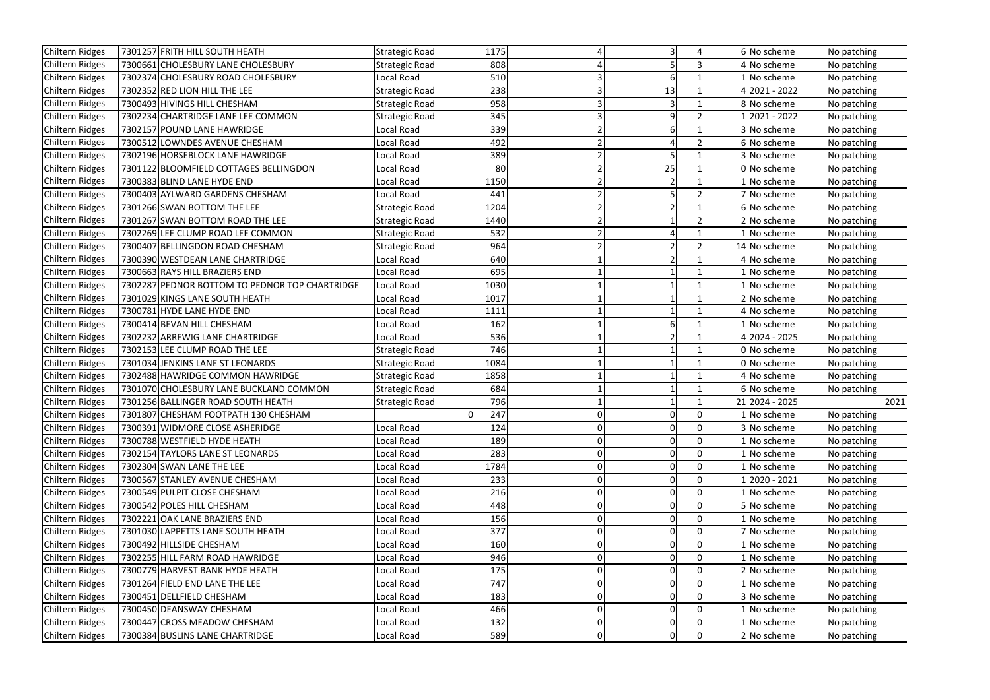| Chiltern Ridges<br>7301257 FRITH HILL SOUTH HEATH<br><b>Strategic Road</b><br>1175             | 6 No scheme    | No patching |
|------------------------------------------------------------------------------------------------|----------------|-------------|
| 7300661 CHOLESBURY LANE CHOLESBURY<br>808<br>Chiltern Ridges<br>Strategic Road                 | 4 No scheme    | No patching |
| Chiltern Ridges<br>7302374 CHOLESBURY ROAD CHOLESBURY<br>510<br>Local Road<br>6                | 1 No scheme    | No patching |
| 238<br>Chiltern Ridges<br>7302352 RED LION HILL THE LEE<br>13<br>Strategic Road                | 4 2021 - 2022  | No patching |
| 7300493 HIVINGS HILL CHESHAM<br>958<br>Chiltern Ridges<br>Strategic Road                       | 8 No scheme    | No patching |
| Chiltern Ridges<br>7302234 CHARTRIDGE LANE LEE COMMON<br>345<br>9<br>Strategic Road            | 12021 - 2022   | No patching |
| 7302157 POUND LANE HAWRIDGE<br>Chiltern Ridges<br>Local Road<br>339<br>6                       | 3 No scheme    | No patching |
| Chiltern Ridges<br>7300512 LOWNDES AVENUE CHESHAM<br>Local Road<br>492                         | 6 No scheme    | No patching |
| 389<br>Chiltern Ridges<br>7302196 HORSEBLOCK LANE HAWRIDGE<br>Local Road                       | 3 No scheme    | No patching |
| 25<br>Chiltern Ridges<br>7301122 BLOOMFIELD COTTAGES BELLINGDON<br>Local Road<br>80            | 0 No scheme    | No patching |
| Chiltern Ridges<br>7300383 BLIND LANE HYDE END<br>Local Road<br>1150                           | 1   No scheme  | No patching |
| Chiltern Ridges<br>7300403 AYLWARD GARDENS CHESHAM<br>441<br>Local Road                        | 7 No scheme    | No patching |
| Chiltern Ridges<br>7301266 SWAN BOTTOM THE LEE<br>1204<br><b>Strategic Road</b>                | 6 No scheme    | No patching |
| Chiltern Ridges<br>1440<br>7301267 SWAN BOTTOM ROAD THE LEE<br>Strategic Road                  | 2 No scheme    | No patching |
| Chiltern Ridges<br>7302269 LEE CLUMP ROAD LEE COMMON<br>532<br><b>Strategic Road</b>           | 1 No scheme    | No patching |
| 964<br>7300407 BELLINGDON ROAD CHESHAM<br>Chiltern Ridges<br><b>Strategic Road</b>             | 14 No scheme   | No patching |
| Chiltern Ridges<br>7300390 WESTDEAN LANE CHARTRIDGE<br>Local Road<br>640                       | 4 No scheme    | No patching |
| Chiltern Ridges<br>7300663 RAYS HILL BRAZIERS END<br>Local Road<br>695                         | 1 No scheme    | No patching |
| 7302287 PEDNOR BOTTOM TO PEDNOR TOP CHARTRIDGE<br>1030<br>Chiltern Ridges<br>Local Road        | 1 No scheme    | No patching |
| 7301029 KINGS LANE SOUTH HEATH<br>Chiltern Ridges<br>Local Road<br>1017                        | 2 No scheme    | No patching |
| Chiltern Ridges<br>7300781 HYDE LANE HYDE END<br>Local Road<br>1111                            | 4 No scheme    | No patching |
| Chiltern Ridges<br>7300414 BEVAN HILL CHESHAM<br>162<br>Local Road                             | 1 No scheme    | No patching |
| Chiltern Ridges<br>7302232 ARREWIG LANE CHARTRIDGE<br>536<br>Local Road                        | 4 2024 - 2025  | No patching |
| 746<br>7302153 LEE CLUMP ROAD THE LEE<br>Chiltern Ridges<br>Strategic Road                     | 0 No scheme    | No patching |
| 7301034 JENKINS LANE ST LEONARDS<br>1084<br>Chiltern Ridges<br><b>Strategic Road</b>           | 0 No scheme    | No patching |
| 7302488 HAWRIDGE COMMON HAWRIDGE<br>Chiltern Ridges<br>1858<br><b>Strategic Road</b>           | 4 No scheme    | No patching |
| Chiltern Ridges<br>684<br>7301070 CHOLESBURY LANE BUCKLAND COMMON<br><b>Strategic Road</b>     | 6 No scheme    | No patching |
| Chiltern Ridges<br>7301256 BALLINGER ROAD SOUTH HEATH<br>796<br><b>Strategic Road</b>          | 21 2024 - 2025 | 2021        |
| 7301807 CHESHAM FOOTPATH 130 CHESHAM<br>247<br>Chiltern Ridges                                 | 1 No scheme    | No patching |
| Chiltern Ridges<br>7300391 WIDMORE CLOSE ASHERIDGE<br>Local Road<br>124<br> 0 <br>0            | 3 No scheme    | No patching |
| 7300788 WESTFIELD HYDE HEATH<br>Chiltern Ridges<br>Local Road<br>189<br>0<br>0                 | 1 No scheme    | No patching |
| 283<br>Chiltern Ridges<br>7302154 TAYLORS LANE ST LEONARDS<br>Local Road<br>0<br> 0            | 1 No scheme    | No patching |
| 1784<br>Chiltern Ridges<br>7302304 SWAN LANE THE LEE<br>Local Road<br>0<br>0                   | 1 No scheme    | No patching |
| 233<br>Chiltern Ridges<br>7300567 STANLEY AVENUE CHESHAM<br>Local Road<br>0<br>0               | 1 2020 - 2021  | No patching |
| Chiltern Ridges<br>7300549 PULPIT CLOSE CHESHAM<br>216<br>Local Road<br>$\overline{0}$<br>0    | 1 No scheme    | No patching |
| Chiltern Ridges<br>7300542 POLES HILL CHESHAM<br>Local Road<br>448<br>0<br>0                   | 5 No scheme    | No patching |
| Chiltern Ridges<br>Local Road<br>156<br>7302221 OAK LANE BRAZIERS END<br>0<br> 0               | 1 No scheme    | No patching |
| Chiltern Ridges<br>7301030 LAPPETTS LANE SOUTH HEATH<br>377<br>Local Road<br>0<br>0            | 7 No scheme    | No patching |
| 160<br>Chiltern Ridges<br>7300492 HILLSIDE CHESHAM<br>Local Road<br>0<br>0                     | 1 No scheme    | No patching |
| Chiltern Ridges<br>7302255 HILL FARM ROAD HAWRIDGE<br>946<br>Local Road<br>$\overline{0}$<br>0 | 1 No scheme    | No patching |
| Chiltern Ridges<br>7300779 HARVEST BANK HYDE HEATH<br>Local Road<br>175<br>0<br>0              | 2 No scheme    | No patching |
| 0 <br>Chiltern Ridges<br>7301264 FIELD END LANE THE LEE<br>Local Road<br>747<br>0              | 1 No scheme    | No patching |
| Chiltern Ridges<br>7300451 DELLFIELD CHESHAM<br>Local Road<br>183<br>0<br>0                    | 3 No scheme    | No patching |
| 466<br>Chiltern Ridges<br>7300450 DEANSWAY CHESHAM<br>Local Road<br>0<br>0                     | 1 No scheme    | No patching |
| 7300447 CROSS MEADOW CHESHAM<br>132<br> 0 <br>Chiltern Ridges<br>Local Road<br>0               | 1 No scheme    | No patching |
| 589<br> 0 <br> 0 <br>Chiltern Ridges<br>7300384 BUSLINS LANE CHARTRIDGE<br>Local Road          | 2 No scheme    | No patching |